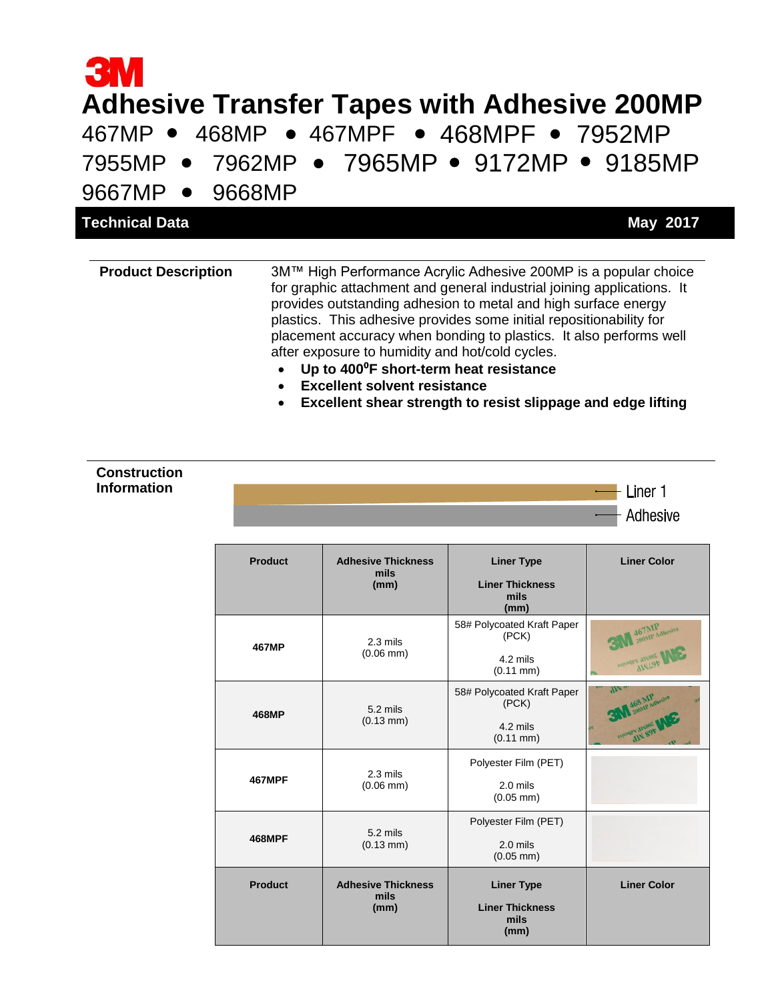467MP • 468MP • 467MPF • 468MPF • 7952MP 7955MP • 7962MP • 7965MP • 9172MP • 9185MP 9667MP • 9668MP

| <b>Technical Data</b>      | May 2017                                                                                                                                                                                                                                                                                                                                                                                                                                                                                                                                                                                            |
|----------------------------|-----------------------------------------------------------------------------------------------------------------------------------------------------------------------------------------------------------------------------------------------------------------------------------------------------------------------------------------------------------------------------------------------------------------------------------------------------------------------------------------------------------------------------------------------------------------------------------------------------|
| <b>Product Description</b> | 3M™ High Performance Acrylic Adhesive 200MP is a popular choice<br>for graphic attachment and general industrial joining applications. It<br>provides outstanding adhesion to metal and high surface energy<br>plastics. This adhesive provides some initial repositionability for<br>placement accuracy when bonding to plastics. It also performs well<br>after exposure to humidity and hot/cold cycles.<br>Up to 400°F short-term heat resistance<br>$\bullet$<br><b>Excellent solvent resistance</b><br>$\bullet$<br>Excellent shear strength to resist slippage and edge lifting<br>$\bullet$ |

#### **Construction Information**

| <b>Product</b> | <b>Adhesive Thickness</b><br>mils<br>(mm) | <b>Liner Type</b><br><b>Liner Thickness</b><br>mils<br>(mm)              | <b>Liner Color</b>                                                 |
|----------------|-------------------------------------------|--------------------------------------------------------------------------|--------------------------------------------------------------------|
| 467MP          | $2.3$ mils<br>$(0.06$ mm $)$              | 58# Polycoated Kraft Paper<br>(PCK)<br>4.2 mils<br>$(0.11 \, \text{mm})$ | 467MP Adhesive<br><b>SOBAL VORESSEE</b><br>divL9t                  |
| 468MP          | $5.2$ mils<br>$(0.13 \, \text{mm})$       | 58# Polycoated Kraft Paper<br>(PCK)<br>4.2 mils<br>$(0.11$ mm $)$        | $\mathbf{w}$<br>468 MP ducatve<br>aspaupy Arcool<br><b>AIN 891</b> |
| <b>467MPF</b>  | $2.3$ mils<br>$(0.06$ mm $)$              | Polyester Film (PET)<br>$2.0$ mils<br>$(0.05$ mm $)$                     |                                                                    |
| <b>468MPF</b>  | $5.2$ mils<br>$(0.13 \text{ mm})$         | Polyester Film (PET)<br>$2.0$ mils<br>$(0.05$ mm $)$                     |                                                                    |
| <b>Product</b> | <b>Adhesive Thickness</b><br>mils<br>(mm) | <b>Liner Type</b><br><b>Liner Thickness</b><br>mils<br>(mm)              | <b>Liner Color</b>                                                 |

Liner 1 Adhesive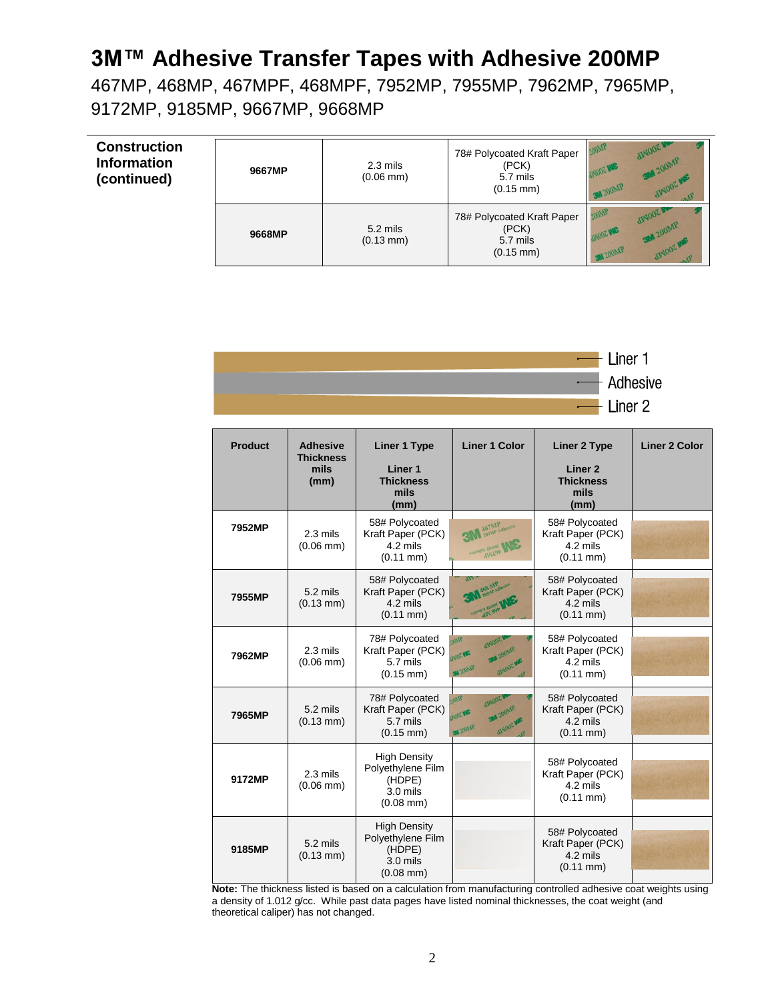467MP, 468MP, 467MPF, 468MPF, 7952MP, 7955MP, 7962MP, 7965MP, 9172MP, 9185MP, 9667MP, 9668MP

#### **Construction Information (continued) 9667MP** 2.3 mils

| 9667MP | $2.3$ mils<br>$(0.06$ mm $)$      | 78# Polycoated Kraft Paper<br>(PCK)<br>5.7 mils<br>$(0.15 \, \text{mm})$ | Man<br><b>200MP</b><br><b>200MP</b>   |
|--------|-----------------------------------|--------------------------------------------------------------------------|---------------------------------------|
| 9668MP | $5.2$ mils<br>$(0.13 \text{ mm})$ | 78# Polycoated Kraft Paper<br>(PCK)<br>5.7 mils<br>$(0.15 \, \text{mm})$ | hoose<br><b>200MP</b><br><b>200MP</b> |



| <b>Product</b> | <b>Adhesive</b><br><b>Thickness</b><br>mils<br>(mm) | <b>Liner 1 Type</b><br>Liner <sub>1</sub><br><b>Thickness</b><br>mils<br>(mm)      | <b>Liner 1 Color</b>                                                                                       | <b>Liner 2 Type</b><br>Liner <sub>2</sub><br><b>Thickness</b><br>mils<br>(mm) | <b>Liner 2 Color</b> |
|----------------|-----------------------------------------------------|------------------------------------------------------------------------------------|------------------------------------------------------------------------------------------------------------|-------------------------------------------------------------------------------|----------------------|
| 7952MP         | $2.3$ mils<br>$(0.06$ mm $)$                        | 58# Polycoated<br>Kraft Paper (PCK)<br>4.2 mils<br>$(0.11 \, \text{mm})$           | 467MP Adhesive                                                                                             | 58# Polycoated<br>Kraft Paper (PCK)<br>4.2 mils<br>$(0.11 \text{ mm})$        |                      |
| 7955MP         | $5.2$ mils<br>$(0.13 \, \text{mm})$                 | 58# Polycoated<br>Kraft Paper (PCK)<br>4.2 mils<br>$(0.11 \, \text{mm})$           | $q_{\nu}$                                                                                                  | 58# Polycoated<br>Kraft Paper (PCK)<br>4.2 mils<br>$(0.11$ mm $)$             |                      |
| 7962MP         | $2.3$ mils<br>$(0.06$ mm $)$                        | 78# Polycoated<br>Kraft Paper (PCK)<br>5.7 mils<br>$(0.15 \text{ mm})$             | <b>SIVIS</b><br><b>AVADOZ &amp;</b><br><b>34 200MP</b><br><b>OOT HE</b><br><b>AINDOC M</b><br>1200MP       | 58# Polycoated<br>Kraft Paper (PCK)<br>4.2 mils<br>$(0.11 \text{ mm})$        |                      |
| 7965MP         | $5.2$ mils<br>$(0.13 \text{ mm})$                   | 78# Polycoated<br>Kraft Paper (PCK)<br>5.7 mils<br>$(0.15 \, \text{mm})$           | <b>AMP</b><br><b>AINDOZ MA</b><br><b>34 200MP</b><br><b>ODZ WE</b><br><b>alvance wes</b><br><b>A 200MP</b> | 58# Polycoated<br>Kraft Paper (PCK)<br>4.2 mils<br>$(0.11 \, \text{mm})$      |                      |
| 9172MP         | 2.3 mils<br>$(0.06$ mm $)$                          | <b>High Density</b><br>Polyethylene Film<br>(HDPE)<br>$3.0$ mils<br>$(0.08$ mm $)$ |                                                                                                            | 58# Polycoated<br>Kraft Paper (PCK)<br>4.2 mils<br>$(0.11$ mm $)$             |                      |
| 9185MP         | 5.2 mils<br>$(0.13 \text{ mm})$                     | <b>High Density</b><br>Polyethylene Film<br>(HDPE)<br>$3.0$ mils<br>$(0.08$ mm $)$ |                                                                                                            | 58# Polycoated<br>Kraft Paper (PCK)<br>4.2 mils<br>$(0.11 \, \text{mm})$      |                      |

**Note:** The thickness listed is based on a calculation from manufacturing controlled adhesive coat weights using a density of 1.012 g/cc. While past data pages have listed nominal thicknesses, the coat weight (and theoretical caliper) has not changed.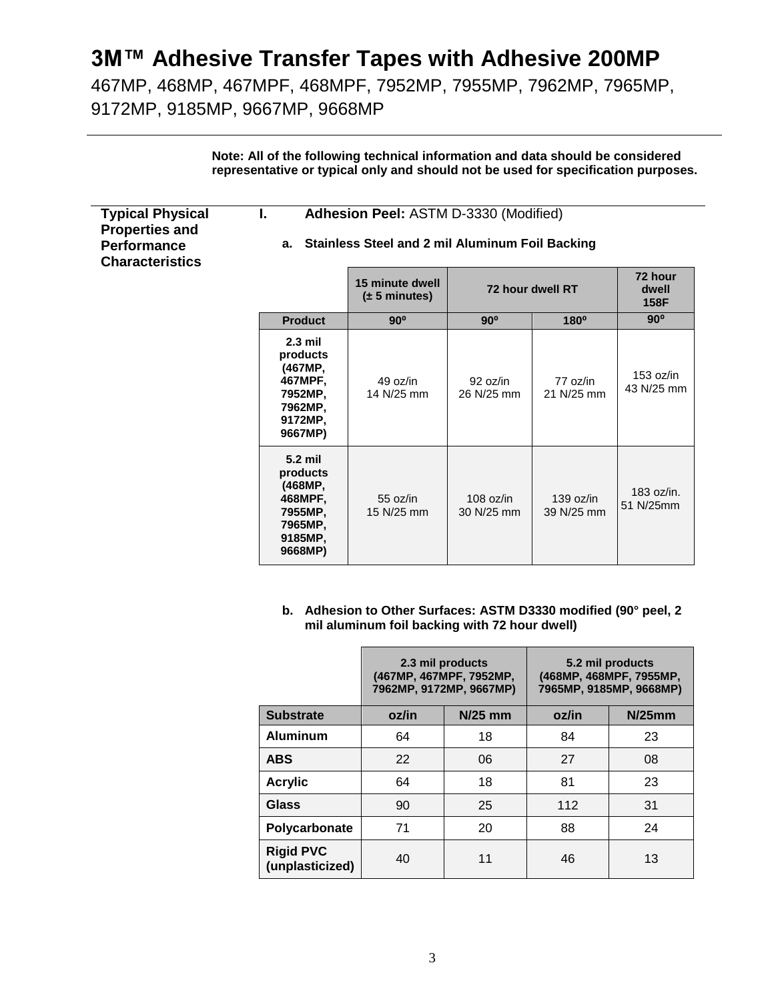467MP, 468MP, 467MPF, 468MPF, 7952MP, 7955MP, 7962MP, 7965MP, 9172MP, 9185MP, 9667MP, 9668MP

| <b>Typical Physical</b><br><b>Properties and</b><br><b>Performance</b><br><b>Characteristics</b> | Note: All of the following technical information and data should be considered<br>representative or typical only and should not be used for specification purposes.<br>Adhesion Peel: ASTM D-3330 (Modified)<br>L.<br><b>Stainless Steel and 2 mil Aluminum Foil Backing</b><br>а. |                                              |                           |                         |                                 |
|--------------------------------------------------------------------------------------------------|------------------------------------------------------------------------------------------------------------------------------------------------------------------------------------------------------------------------------------------------------------------------------------|----------------------------------------------|---------------------------|-------------------------|---------------------------------|
|                                                                                                  |                                                                                                                                                                                                                                                                                    | 15 minute dwell<br>$(\pm 5 \text{ minutes})$ |                           | 72 hour dwell RT        | 72 hour<br>dwell<br><b>158F</b> |
|                                                                                                  | <b>Product</b>                                                                                                                                                                                                                                                                     | $90^\circ$                                   | $90^\circ$                | $180^\circ$             | $90^\circ$                      |
|                                                                                                  | $2.3$ mil<br>products<br>(467MP,<br>467MPF.<br>7952MP,<br>7962MP,<br>9172MP.<br>9667MP)                                                                                                                                                                                            | 49 oz/in<br>14 N/25 mm                       | 92 oz/in<br>26 N/25 mm    | 77 oz/in<br>21 N/25 mm  | 153 oz/in<br>43 N/25 mm         |
|                                                                                                  | 5.2 mil<br>products<br>(468MP,<br>468MPF.<br>7955MP.<br>7965MP,<br>9185MP.<br>9668MP)                                                                                                                                                                                              | 55 oz/in<br>15 N/25 mm                       | $108$ oz/in<br>30 N/25 mm | 139 oz/in<br>39 N/25 mm | 183 oz/in.<br>51 N/25mm         |

**b. Adhesion to Other Surfaces: ASTM D3330 modified (90° peel, 2 mil aluminum foil backing with 72 hour dwell)**

|                                     | 2.3 mil products<br>(467MP, 467MPF, 7952MP,<br>7962MP, 9172MP, 9667MP) |           | 5.2 mil products<br>(468MP, 468MPF, 7955MP,<br>7965MP, 9185MP, 9668MP) |           |
|-------------------------------------|------------------------------------------------------------------------|-----------|------------------------------------------------------------------------|-----------|
| <b>Substrate</b>                    | oz/in                                                                  | $N/25$ mm | oz/in                                                                  | $N/25$ mm |
| <b>Aluminum</b>                     | 64                                                                     | 18        | 84                                                                     | 23        |
| <b>ABS</b>                          | 22                                                                     | 06        | 27                                                                     | 08        |
| <b>Acrylic</b>                      | 64                                                                     | 18        | 81                                                                     | 23        |
| Glass                               | 90                                                                     | 25        | 112                                                                    | 31        |
| Polycarbonate                       | 71                                                                     | 20        | 88                                                                     | 24        |
| <b>Rigid PVC</b><br>(unplasticized) | 40                                                                     | 11        | 46                                                                     | 13        |

3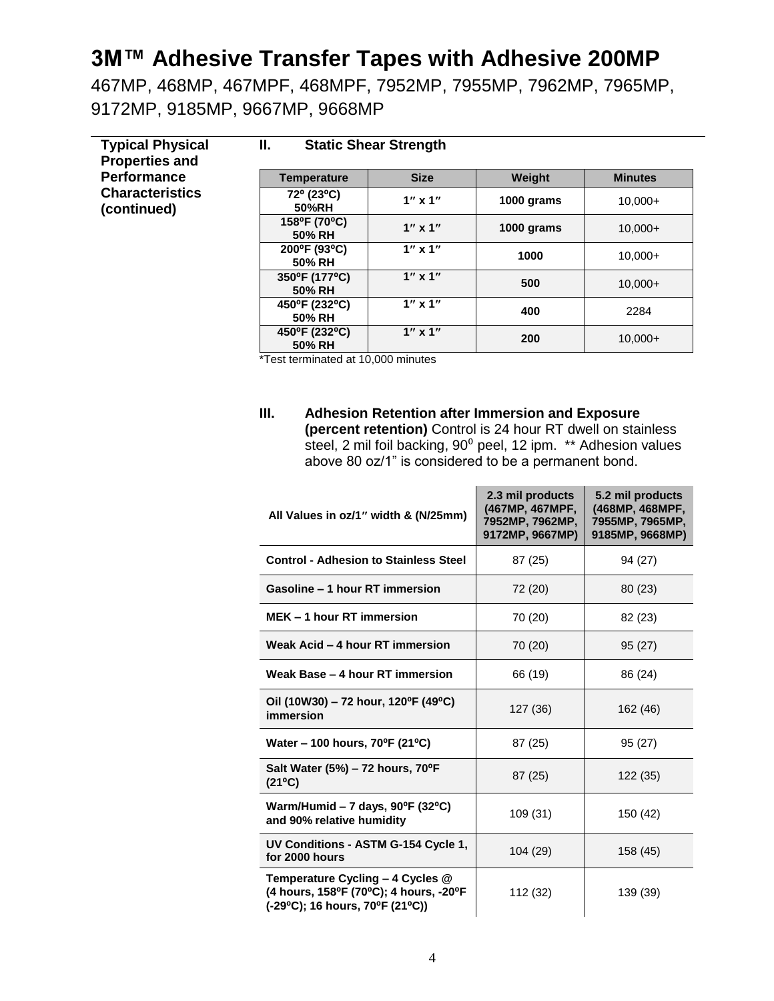467MP, 468MP, 467MPF, 468MPF, 7952MP, 7955MP, 7962MP, 7965MP, 9172MP, 9185MP, 9667MP, 9668MP

| <b>Typical Physical</b><br><b>Properties and</b> | Ш.                      | <b>Static Shear Strength</b> |            |                |
|--------------------------------------------------|-------------------------|------------------------------|------------|----------------|
| <b>Performance</b>                               | <b>Temperature</b>      | <b>Size</b>                  | Weight     | <b>Minutes</b> |
| <b>Characteristics</b><br>(continued)            | 72° (23°C)<br>50%RH     | $1''$ x $1''$                | 1000 grams | $10,000+$      |
|                                                  | 158°F (70°C)<br>50% RH  | $1''$ x $1''$                | 1000 grams | $10.000+$      |
|                                                  | 200°F (93°C)<br>50% RH  | $1''$ x $1''$                | 1000       | $10.000+$      |
|                                                  | 350°F (177°C)<br>50% RH | $1''$ x $1''$                | 500        | $10,000+$      |
|                                                  | 450°F (232°C)<br>50% RH | $1''$ x $1''$                | 400        | 2284           |
|                                                  | 450°F (232°C)<br>50% RH | $1''$ x $1''$                | 200        | $10,000+$      |

\*Test terminated at 10,000 minutes

**III. Adhesion Retention after Immersion and Exposure (percent retention)** Control is 24 hour RT dwell on stainless steel, 2 mil foil backing, 90<sup>0</sup> peel, 12 ipm. \*\* Adhesion values above 80 oz/1" is considered to be a permanent bond.

| All Values in oz/1" width & (N/25mm)                                                                          | 2.3 mil products<br>(467MP, 467MPF,<br>7952MP, 7962MP,<br>9172MP, 9667MP) | 5.2 mil products<br>(468MP. 468MPF.<br>7955MP, 7965MP,<br>9185MP, 9668MP) |
|---------------------------------------------------------------------------------------------------------------|---------------------------------------------------------------------------|---------------------------------------------------------------------------|
| <b>Control - Adhesion to Stainless Steel</b>                                                                  | 87 (25)                                                                   | 94 (27)                                                                   |
| Gasoline - 1 hour RT immersion                                                                                | 72 (20)                                                                   | 80(23)                                                                    |
| MEK - 1 hour RT immersion                                                                                     | 70 (20)                                                                   | 82 (23)                                                                   |
| Weak Acid - 4 hour RT immersion                                                                               | 70 (20)                                                                   | 95 (27)                                                                   |
| Weak Base - 4 hour RT immersion                                                                               | 66 (19)                                                                   | 86 (24)                                                                   |
| Oil (10W30) - 72 hour, 120°F (49°C)<br>immersion                                                              | 127 (36)                                                                  | 162 (46)                                                                  |
| Water – 100 hours, 70°F (21°C)                                                                                | 87 (25)                                                                   | 95 (27)                                                                   |
| Salt Water $(5\%)$ – 72 hours, 70 <sup>o</sup> F<br>$(21^{\circ}C)$                                           | 87 (25)                                                                   | 122 (35)                                                                  |
| Warm/Humid - 7 days, 90°F (32°C)<br>and 90% relative humidity                                                 | 109 (31)                                                                  | 150 (42)                                                                  |
| UV Conditions - ASTM G-154 Cycle 1,<br>for 2000 hours                                                         | 104 (29)                                                                  | 158 (45)                                                                  |
| Temperature Cycling - 4 Cycles @<br>(4 hours, 158°F (70°C); 4 hours, -20°F<br>(-29°C); 16 hours, 70°F (21°C)) | 112 (32)                                                                  | 139 (39)                                                                  |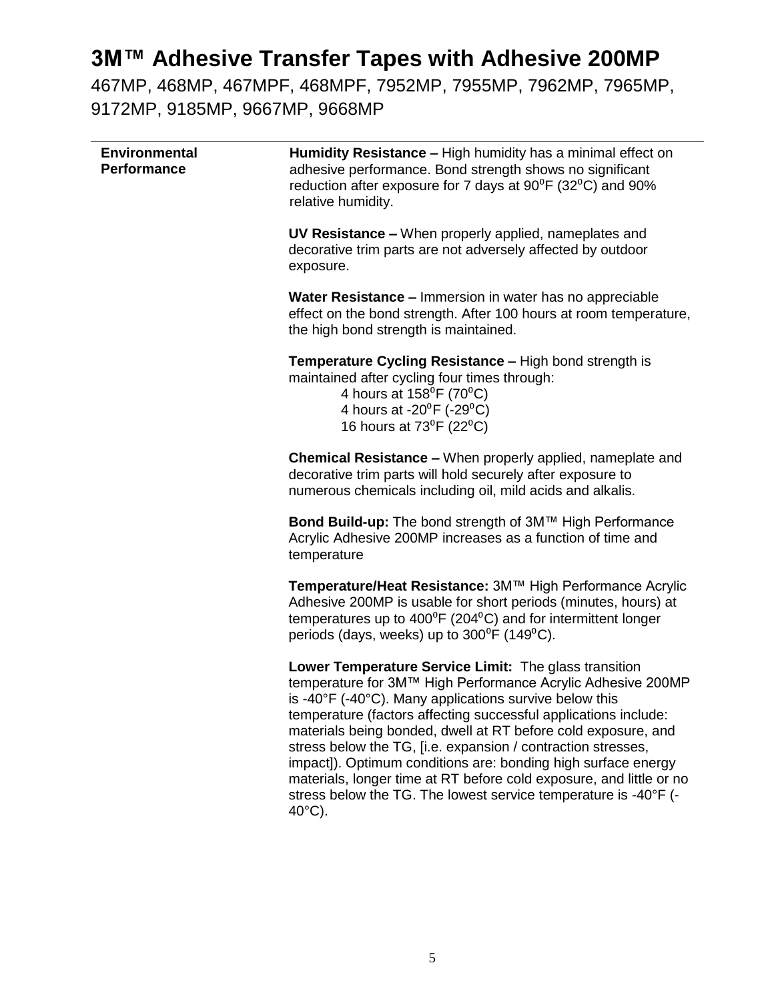467MP, 468MP, 467MPF, 468MPF, 7952MP, 7955MP, 7962MP, 7965MP, 9172MP, 9185MP, 9667MP, 9668MP

| <b>Environmental</b><br><b>Performance</b> | Humidity Resistance - High humidity has a minimal effect on<br>adhesive performance. Bond strength shows no significant<br>reduction after exposure for 7 days at 90 <sup>0</sup> F (32 <sup>0</sup> C) and 90%<br>relative humidity.                                                                                                                                                                                                                                                                                                                                                                                                 |
|--------------------------------------------|---------------------------------------------------------------------------------------------------------------------------------------------------------------------------------------------------------------------------------------------------------------------------------------------------------------------------------------------------------------------------------------------------------------------------------------------------------------------------------------------------------------------------------------------------------------------------------------------------------------------------------------|
|                                            | UV Resistance - When properly applied, nameplates and<br>decorative trim parts are not adversely affected by outdoor<br>exposure.                                                                                                                                                                                                                                                                                                                                                                                                                                                                                                     |
|                                            | <b>Water Resistance – Immersion in water has no appreciable</b><br>effect on the bond strength. After 100 hours at room temperature,<br>the high bond strength is maintained.                                                                                                                                                                                                                                                                                                                                                                                                                                                         |
|                                            | Temperature Cycling Resistance - High bond strength is<br>maintained after cycling four times through:<br>4 hours at $158^{\circ}F(70^{\circ}C)$<br>4 hours at -20 $^{\circ}$ F (-29 $^{\circ}$ C)<br>16 hours at $73^{\circ}F(22^{\circ}C)$                                                                                                                                                                                                                                                                                                                                                                                          |
|                                            | <b>Chemical Resistance - When properly applied, nameplate and</b><br>decorative trim parts will hold securely after exposure to<br>numerous chemicals including oil, mild acids and alkalis.                                                                                                                                                                                                                                                                                                                                                                                                                                          |
|                                            | Bond Build-up: The bond strength of 3M™ High Performance<br>Acrylic Adhesive 200MP increases as a function of time and<br>temperature                                                                                                                                                                                                                                                                                                                                                                                                                                                                                                 |
|                                            | Temperature/Heat Resistance: 3M™ High Performance Acrylic<br>Adhesive 200MP is usable for short periods (minutes, hours) at<br>temperatures up to $400^{\circ}F(204^{\circ}C)$ and for intermittent longer<br>periods (days, weeks) up to $300^{\circ}$ F (149 $^{\circ}$ C).                                                                                                                                                                                                                                                                                                                                                         |
|                                            | Lower Temperature Service Limit: The glass transition<br>temperature for 3M™ High Performance Acrylic Adhesive 200MP<br>is -40 $\degree$ F (-40 $\degree$ C). Many applications survive below this<br>temperature (factors affecting successful applications include:<br>materials being bonded, dwell at RT before cold exposure, and<br>stress below the TG, [i.e. expansion / contraction stresses,<br>impact]). Optimum conditions are: bonding high surface energy<br>materials, longer time at RT before cold exposure, and little or no<br>stress below the TG. The lowest service temperature is -40°F (-<br>$40^{\circ}$ C). |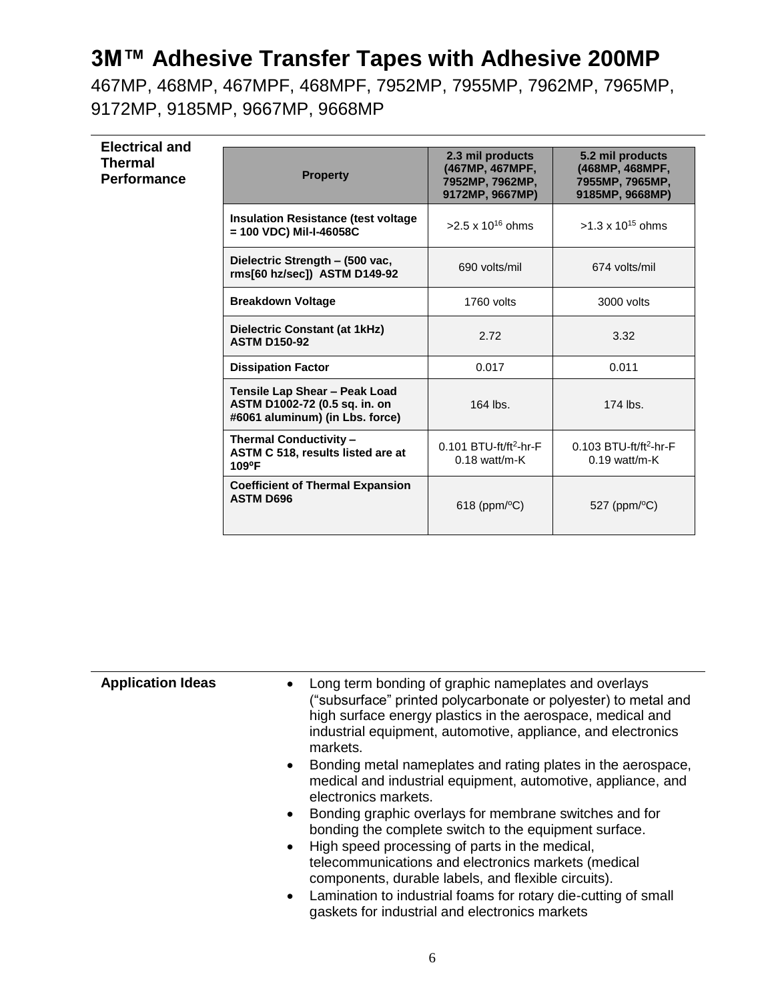**Electrical and Thermal Performance** 

467MP, 468MP, 467MPF, 468MPF, 7952MP, 7955MP, 7962MP, 7965MP, 9172MP, 9185MP, 9667MP, 9668MP

| <b>Property</b>                                                                                   | 2.3 mil products<br>(467MP, 467MPF,<br>7952MP, 7962MP,<br>9172MP, 9667MP) | 5.2 mil products<br>(468MP, 468MPF,<br>7955MP, 7965MP,<br>9185MP, 9668MP) |
|---------------------------------------------------------------------------------------------------|---------------------------------------------------------------------------|---------------------------------------------------------------------------|
| <b>Insulation Resistance (test voltage)</b><br>$= 100$ VDC) Mil-I-46058C                          | $>2.5 \times 10^{16}$ ohms                                                | $>1.3 \times 10^{15}$ ohms                                                |
| Dielectric Strength - (500 vac,<br>rms[60 hz/sec]) ASTM D149-92                                   | 690 volts/mil                                                             | 674 volts/mil                                                             |
| <b>Breakdown Voltage</b>                                                                          | 1760 volts                                                                | 3000 volts                                                                |
| Dielectric Constant (at 1kHz)<br><b>ASTM D150-92</b>                                              | 2.72                                                                      | 3.32                                                                      |
| <b>Dissipation Factor</b>                                                                         | 0.017                                                                     | 0.011                                                                     |
| Tensile Lap Shear - Peak Load<br>ASTM D1002-72 (0.5 sq. in. on<br>#6061 aluminum) (in Lbs. force) | $164$ lbs.                                                                | $174$ lbs.                                                                |
| <b>Thermal Conductivity -</b><br>ASTM C 518, results listed are at<br>$109$ °F                    | $0.101$ BTU-ft/ft <sup>2</sup> -hr-F<br>$0.18$ watt/m-K                   | $0.103$ BTU-ft/ft <sup>2</sup> -hr-F<br>$0.19$ watt/m-K                   |
| <b>Coefficient of Thermal Expansion</b><br><b>ASTM D696</b>                                       | $618$ (ppm/ $\degree$ C)                                                  | $527$ (ppm/ $\degree$ C)                                                  |

| <b>Application Ideas</b> | Long term bonding of graphic nameplates and overlays<br>$\bullet$<br>("subsurface" printed polycarbonate or polyester) to metal and<br>high surface energy plastics in the aerospace, medical and<br>industrial equipment, automotive, appliance, and electronics<br>markets. |
|--------------------------|-------------------------------------------------------------------------------------------------------------------------------------------------------------------------------------------------------------------------------------------------------------------------------|
|                          | Bonding metal nameplates and rating plates in the aerospace,<br>$\bullet$<br>medical and industrial equipment, automotive, appliance, and<br>electronics markets.                                                                                                             |
|                          | Bonding graphic overlays for membrane switches and for<br>$\bullet$<br>bonding the complete switch to the equipment surface.<br>High speed processing of parts in the medical,<br>$\bullet$                                                                                   |
|                          | telecommunications and electronics markets (medical<br>components, durable labels, and flexible circuits).<br>Lamination to industrial foams for rotary die-cutting of small<br>$\bullet$<br>gaskets for industrial and electronics markets                                   |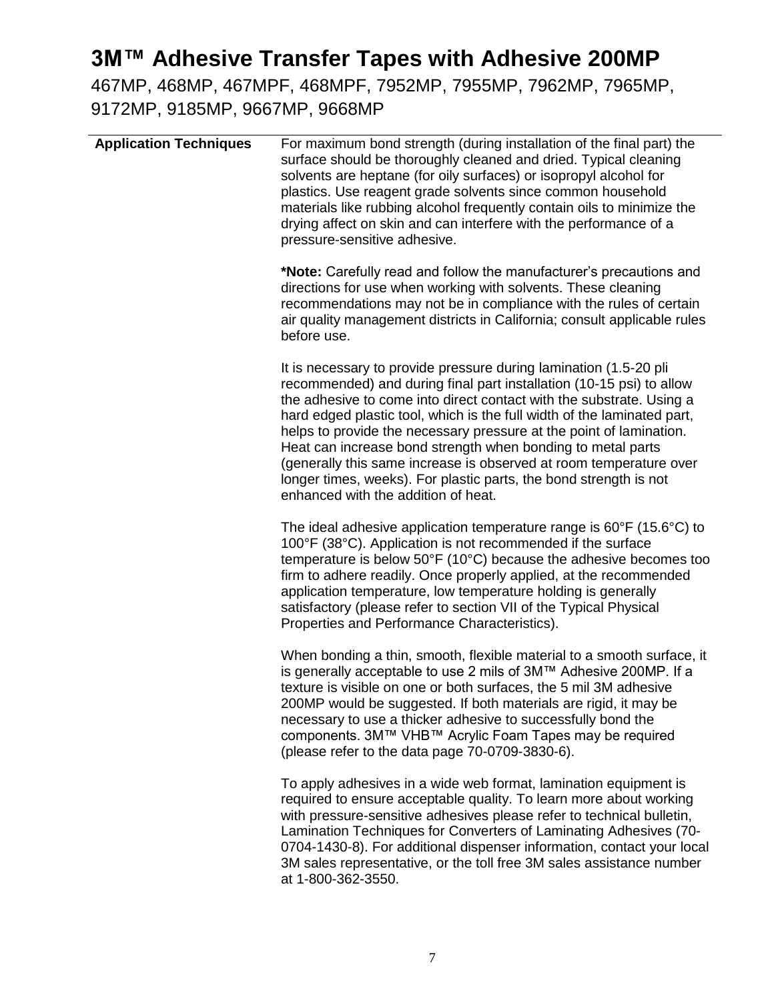467MP, 468MP, 467MPF, 468MPF, 7952MP, 7955MP, 7962MP, 7965MP, 9172MP, 9185MP, 9667MP, 9668MP

| <b>Application Techniques</b> | For maximum bond strength (during installation of the final part) the<br>surface should be thoroughly cleaned and dried. Typical cleaning<br>solvents are heptane (for oily surfaces) or isopropyl alcohol for<br>plastics. Use reagent grade solvents since common household<br>materials like rubbing alcohol frequently contain oils to minimize the<br>drying affect on skin and can interfere with the performance of a<br>pressure-sensitive adhesive.                                                                                                                                                         |
|-------------------------------|----------------------------------------------------------------------------------------------------------------------------------------------------------------------------------------------------------------------------------------------------------------------------------------------------------------------------------------------------------------------------------------------------------------------------------------------------------------------------------------------------------------------------------------------------------------------------------------------------------------------|
|                               | *Note: Carefully read and follow the manufacturer's precautions and<br>directions for use when working with solvents. These cleaning<br>recommendations may not be in compliance with the rules of certain<br>air quality management districts in California; consult applicable rules<br>before use.                                                                                                                                                                                                                                                                                                                |
|                               | It is necessary to provide pressure during lamination (1.5-20 pli<br>recommended) and during final part installation (10-15 psi) to allow<br>the adhesive to come into direct contact with the substrate. Using a<br>hard edged plastic tool, which is the full width of the laminated part,<br>helps to provide the necessary pressure at the point of lamination.<br>Heat can increase bond strength when bonding to metal parts<br>(generally this same increase is observed at room temperature over<br>longer times, weeks). For plastic parts, the bond strength is not<br>enhanced with the addition of heat. |
|                               | The ideal adhesive application temperature range is $60^{\circ}F$ (15.6 $^{\circ}C$ ) to<br>100°F (38°C). Application is not recommended if the surface<br>temperature is below $50^{\circ}F$ (10 $^{\circ}C$ ) because the adhesive becomes too<br>firm to adhere readily. Once properly applied, at the recommended<br>application temperature, low temperature holding is generally<br>satisfactory (please refer to section VII of the Typical Physical<br>Properties and Performance Characteristics).                                                                                                          |
|                               | When bonding a thin, smooth, flexible material to a smooth surface, it<br>is generally acceptable to use 2 mils of 3M™ Adhesive 200MP. If a<br>texture is visible on one or both surfaces, the 5 mil 3M adhesive<br>200MP would be suggested. If both materials are rigid, it may be<br>necessary to use a thicker adhesive to successfully bond the<br>components. 3M™ VHB™ Acrylic Foam Tapes may be required<br>(please refer to the data page 70-0709-3830-6).                                                                                                                                                   |
|                               | To apply adhesives in a wide web format, lamination equipment is<br>required to ensure acceptable quality. To learn more about working<br>with pressure-sensitive adhesives please refer to technical bulletin,<br>Lamination Techniques for Converters of Laminating Adhesives (70-<br>0704-1430-8). For additional dispenser information, contact your local                                                                                                                                                                                                                                                       |

at 1-800-362-3550.

3M sales representative, or the toll free 3M sales assistance number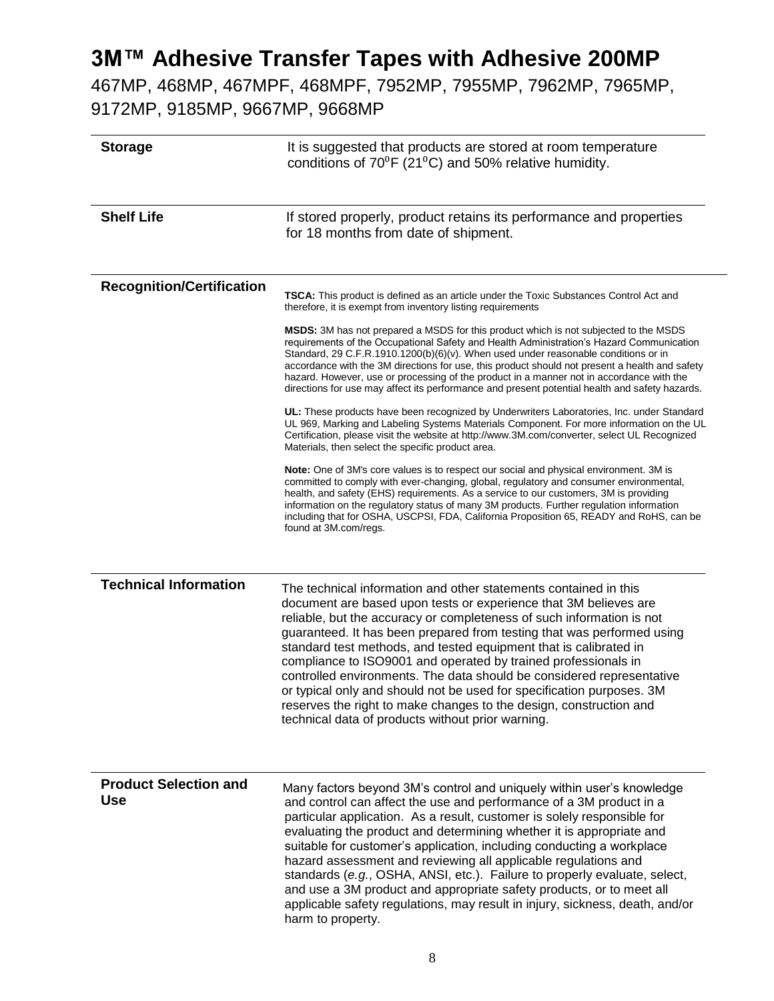467MP, 468MP, 467MPF, 468MPF, 7952MP, 7955MP, 7962MP, 7965MP, 9172MP, 9185MP, 9667MP, 9668MP

| <b>Storage</b>                             | It is suggested that products are stored at room temperature<br>conditions of $70^0$ F (21 <sup>o</sup> C) and 50% relative humidity.                                                                                                                                                                                                                                                                                                                                                                                                                                                                                                                                                                       |
|--------------------------------------------|-------------------------------------------------------------------------------------------------------------------------------------------------------------------------------------------------------------------------------------------------------------------------------------------------------------------------------------------------------------------------------------------------------------------------------------------------------------------------------------------------------------------------------------------------------------------------------------------------------------------------------------------------------------------------------------------------------------|
| <b>Shelf Life</b>                          | If stored properly, product retains its performance and properties<br>for 18 months from date of shipment.                                                                                                                                                                                                                                                                                                                                                                                                                                                                                                                                                                                                  |
| <b>Recognition/Certification</b>           | <b>TSCA:</b> This product is defined as an article under the Toxic Substances Control Act and<br>therefore, it is exempt from inventory listing requirements                                                                                                                                                                                                                                                                                                                                                                                                                                                                                                                                                |
|                                            | <b>MSDS:</b> 3M has not prepared a MSDS for this product which is not subjected to the MSDS<br>requirements of the Occupational Safety and Health Administration's Hazard Communication<br>Standard, 29 C.F.R.1910.1200(b)(6)(v). When used under reasonable conditions or in<br>accordance with the 3M directions for use, this product should not present a health and safety<br>hazard. However, use or processing of the product in a manner not in accordance with the<br>directions for use may affect its performance and present potential health and safety hazards.                                                                                                                               |
|                                            | UL: These products have been recognized by Underwriters Laboratories, Inc. under Standard<br>UL 969, Marking and Labeling Systems Materials Component. For more information on the UL<br>Certification, please visit the website at http://www.3M.com/converter, select UL Recognized<br>Materials, then select the specific product area.                                                                                                                                                                                                                                                                                                                                                                  |
|                                            | Note: One of 3M's core values is to respect our social and physical environment. 3M is<br>committed to comply with ever-changing, global, regulatory and consumer environmental,<br>health, and safety (EHS) requirements. As a service to our customers, 3M is providing<br>information on the regulatory status of many 3M products. Further regulation information<br>including that for OSHA, USCPSI, FDA, California Proposition 65, READY and RoHS, can be<br>found at 3M.com/regs.                                                                                                                                                                                                                   |
| <b>Technical Information</b>               | The technical information and other statements contained in this<br>document are based upon tests or experience that 3M believes are<br>reliable, but the accuracy or completeness of such information is not<br>guaranteed. It has been prepared from testing that was performed using<br>standard test methods, and tested equipment that is calibrated in<br>compliance to ISO9001 and operated by trained professionals in<br>controlled environments. The data should be considered representative<br>or typical only and should not be used for specification purposes. 3M<br>reserves the right to make changes to the design, construction and<br>technical data of products without prior warning. |
| <b>Product Selection and</b><br><b>Use</b> | Many factors beyond 3M's control and uniquely within user's knowledge<br>and control can affect the use and performance of a 3M product in a<br>particular application. As a result, customer is solely responsible for<br>evaluating the product and determining whether it is appropriate and<br>suitable for customer's application, including conducting a workplace<br>hazard assessment and reviewing all applicable regulations and<br>standards (e.g., OSHA, ANSI, etc.). Failure to properly evaluate, select,<br>and use a 3M product and appropriate safety products, or to meet all<br>applicable safety regulations, may result in injury, sickness, death, and/or<br>harm to property.        |